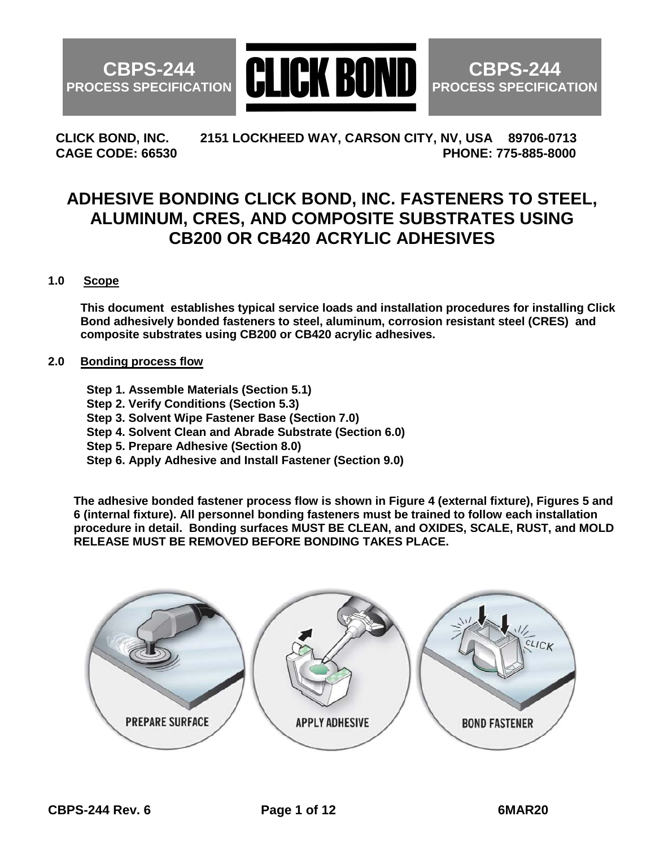**CBPS-244 PROCESS SPECIFICATION**



**CBPS-244 PROCESS SPECIFICATION**

**CLICK BOND, INC. 2151 LOCKHEED WAY, CARSON CITY, NV, USA 89706-0713 CAGE CODE: 66530 PHONE: 775-885-8000**

# **ADHESIVE BONDING CLICK BOND, INC. FASTENERS TO STEEL, ALUMINUM, CRES, AND COMPOSITE SUBSTRATES USING CB200 OR CB420 ACRYLIC ADHESIVES**

## **1.0 Scope**

 **This document establishes typical service loads and installation procedures for installing Click Bond adhesively bonded fasteners to steel, aluminum, corrosion resistant steel (CRES) and composite substrates using CB200 or CB420 acrylic adhesives.**

#### **2.0 Bonding process flow**

- **Step 1. Assemble Materials (Section 5.1)**
- **Step 2. Verify Conditions (Section 5.3)**
- **Step 3. Solvent Wipe Fastener Base (Section 7.0)**
- **Step 4. Solvent Clean and Abrade Substrate (Section 6.0)**
- **Step 5. Prepare Adhesive (Section 8.0)**
- **Step 6. Apply Adhesive and Install Fastener (Section 9.0)**

**The adhesive bonded fastener process flow is shown in Figure 4 (external fixture), Figures 5 and 6 (internal fixture). All personnel bonding fasteners must be trained to follow each installation procedure in detail. Bonding surfaces MUST BE CLEAN, and OXIDES, SCALE, RUST, and MOLD RELEASE MUST BE REMOVED BEFORE BONDING TAKES PLACE.** 

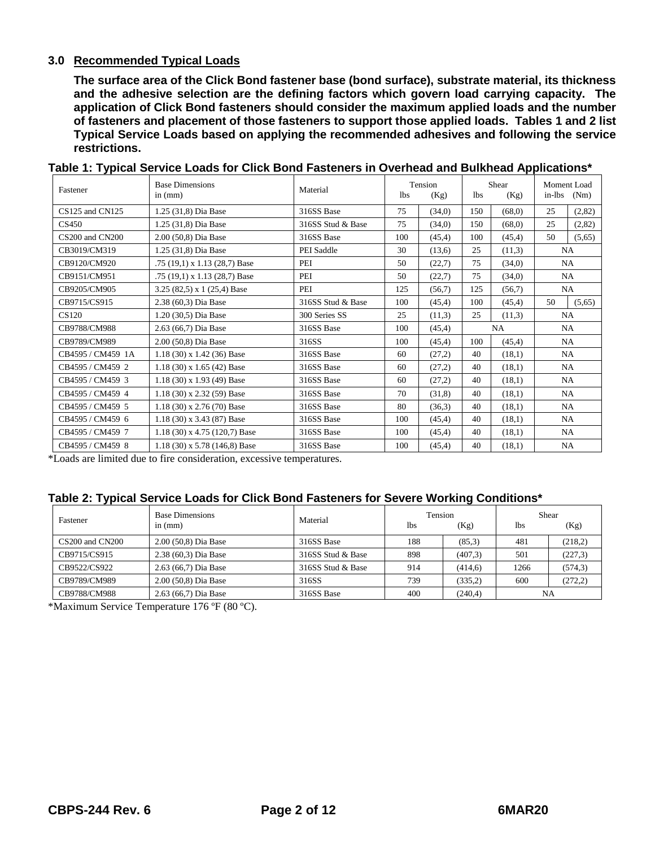#### **3.0 Recommended Typical Loads**

**The surface area of the Click Bond fastener base (bond surface), substrate material, its thickness and the adhesive selection are the defining factors which govern load carrying capacity. The application of Click Bond fasteners should consider the maximum applied loads and the number of fasteners and placement of those fasteners to support those applied loads. Tables 1 and 2 list Typical Service Loads based on applying the recommended adhesives and following the service restrictions.**

| Fastener          | <b>Base Dimensions</b><br>in $(mm)$ | Material          | Tension<br>1 <sub>bs</sub><br>(Kg) |        | Shear<br>lbs.<br>(Kg) |        | Moment Load<br>in-lbs<br>(Nm) |           |
|-------------------|-------------------------------------|-------------------|------------------------------------|--------|-----------------------|--------|-------------------------------|-----------|
| CS125 and CN125   | 1.25 (31,8) Dia Base                | 316SS Base        | 75                                 | (34.0) | 150                   | (68,0) | 25                            | (2,82)    |
| CS450             | 1.25 (31,8) Dia Base                | 316SS Stud & Base | 75                                 | (34,0) | 150                   | (68,0) | 25                            | (2,82)    |
| CS200 and CN200   | 2.00 (50,8) Dia Base                | 316SS Base        | 100                                | (45.4) | 100                   | (45,4) | 50                            | (5,65)    |
| CB3019/CM319      | 1.25 (31,8) Dia Base                | PEI Saddle        | 30                                 | (13,6) | 25                    | (11,3) |                               | <b>NA</b> |
| CB9120/CM920      | .75 (19,1) x 1.13 (28,7) Base       | PEI               | 50                                 | (22,7) | 75                    | (34,0) |                               | NA.       |
| CB9151/CM951      | .75 (19,1) x 1.13 (28,7) Base       | PEI               | 50                                 | (22,7) | 75                    | (34,0) |                               | NA.       |
| CB9205/CM905      | 3.25 (82,5) x 1 (25,4) Base         | PEI               | 125                                | (56,7) | 125                   | (56,7) |                               | <b>NA</b> |
| CB9715/CS915      | 2.38 (60,3) Dia Base                | 316SS Stud & Base | 100                                | (45,4) | 100                   | (45,4) | 50                            | (5,65)    |
| CS120             | 1.20 (30,5) Dia Base                | 300 Series SS     | 25                                 | (11,3) | 25                    | (11,3) |                               | <b>NA</b> |
| CB9788/CM988      | 2.63 (66,7) Dia Base                | 316SS Base        | 100                                | (45,4) | NA                    |        |                               | NA.       |
| CB9789/CM989      | 2.00 (50,8) Dia Base                | 316SS             | 100                                | (45,4) | 100                   | (45,4) |                               | NA.       |
| CB4595 / CM459 1A | $1.18(30)$ x $1.42(36)$ Base        | 316SS Base        | 60                                 | (27,2) | 40                    | (18,1) |                               | NA.       |
| CB4595 / CM459 2  | $1.18(30)$ x $1.65(42)$ Base        | 316SS Base        | 60                                 | (27,2) | 40                    | (18,1) |                               | NA        |
| CB4595 / CM459 3  | $1.18(30)$ x 1.93 (49) Base         | 316SS Base        | 60                                 | (27,2) | 40                    | (18,1) |                               | NA.       |
| CB4595 / CM459 4  | $1.18(30)$ x $2.32(59)$ Base        | 316SS Base        | 70                                 | (31,8) | 40                    | (18,1) |                               | NA.       |
| CB4595 / CM459 5  | $1.18(30)$ x 2.76 (70) Base         | 316SS Base        | 80                                 | (36.3) | 40                    | (18,1) |                               | NA.       |
| CB4595 / CM459 6  | $1.18(30)$ x 3.43 (87) Base         | 316SS Base        | 100                                | (45,4) | 40                    | (18,1) |                               | <b>NA</b> |
| CB4595 / CM459 7  | $1.18(30)$ x 4.75 (120,7) Base      | 316SS Base        | 100                                | (45,4) | 40                    | (18,1) |                               | NA.       |
| CB4595 / CM459 8  | $1.18(30)$ x 5.78 (146.8) Base      | 316SS Base        | 100                                | (45,4) | 40                    | (18,1) |                               | NA        |

**Table 1: Typical Service Loads for Click Bond Fasteners in Overhead and Bulkhead Applications\***

\*Loads are limited due to fire consideration, excessive temperatures.

#### **Table 2: Typical Service Loads for Click Bond Fasteners for Severe Working Conditions\***

| Fastener            | <b>Base Dimensions</b><br>in $(mm)$ | Material          | Tension    |         | Shear |          |
|---------------------|-------------------------------------|-------------------|------------|---------|-------|----------|
|                     |                                     |                   | <b>lbs</b> | (Kg)    | lbs   | (Kg)     |
| $CS200$ and $CN200$ | 2.00 (50,8) Dia Base                | 316SS Base        | 188        | (85,3)  | 481   | (218,2)  |
| CB9715/CS915        | 2.38 (60,3) Dia Base                | 316SS Stud & Base | 898        | (407,3) | 501   | (227,3)  |
| CB9522/CS922        | 2.63 (66,7) Dia Base                | 316SS Stud & Base | 914        | (414,6) | 1266  | (574,3)  |
| CB9789/CM989        | 2.00 (50,8) Dia Base                | 316SS             | 739        | (335,2) | 600   | (272, 2) |
| CB9788/CM988        | 2.63 (66,7) Dia Base                | 316SS Base        | 400        | (240,4) |       | NΑ       |

\*Maximum Service Temperature 176 ºF (80 ºC).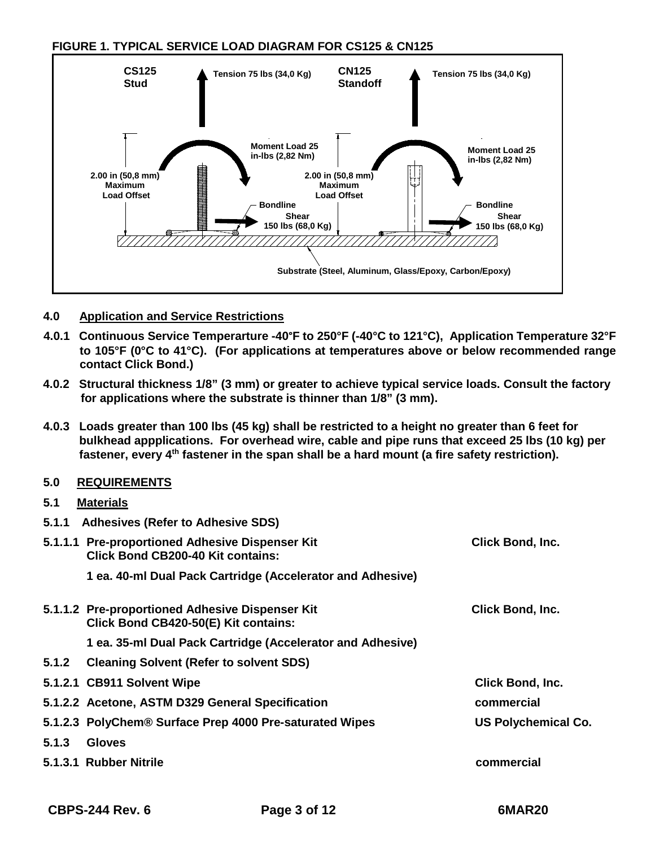**FIGURE 1. TYPICAL SERVICE LOAD DIAGRAM FOR CS125 & CN125**



## **4.0 Application and Service Restrictions**

- **4.0.1 Continuous Service Temperarture -40°F to 250°F (-40°C to 121°C), Application Temperature 32°F to 105°F (0°C to 41°C). (For applications at temperatures above or below recommended range contact Click Bond.)**
- **4.0.2 Structural thickness 1/8" (3 mm) or greater to achieve typical service loads. Consult the factory for applications where the substrate is thinner than 1/8" (3 mm).**
- **4.0.3 Loads greater than 100 lbs (45 kg) shall be restricted to a height no greater than 6 feet for bulkhead appplications. For overhead wire, cable and pipe runs that exceed 25 lbs (10 kg) per fastener, every 4th fastener in the span shall be a hard mount (a fire safety restriction).**

#### **5.0 REQUIREMENTS**

#### **5.1 Materials**

| 5.1.1 | <b>Adhesives (Refer to Adhesive SDS)</b>                                                |                            |
|-------|-----------------------------------------------------------------------------------------|----------------------------|
|       | 5.1.1.1 Pre-proportioned Adhesive Dispenser Kit<br>Click Bond CB200-40 Kit contains:    | <b>Click Bond, Inc.</b>    |
|       | 1 ea. 40-ml Dual Pack Cartridge (Accelerator and Adhesive)                              |                            |
|       | 5.1.1.2 Pre-proportioned Adhesive Dispenser Kit<br>Click Bond CB420-50(E) Kit contains: | Click Bond, Inc.           |
|       | 1 ea. 35-ml Dual Pack Cartridge (Accelerator and Adhesive)                              |                            |
| 5.1.2 | <b>Cleaning Solvent (Refer to solvent SDS)</b>                                          |                            |
|       | 5.1.2.1 CB911 Solvent Wipe                                                              | <b>Click Bond, Inc.</b>    |
|       | 5.1.2.2 Acetone, ASTM D329 General Specification                                        | commercial                 |
|       | 5.1.2.3 PolyChem® Surface Prep 4000 Pre-saturated Wipes                                 | <b>US Polychemical Co.</b> |
| 5.1.3 | <b>Gloves</b>                                                                           |                            |
|       | 5.1.3.1 Rubber Nitrile                                                                  | commercial                 |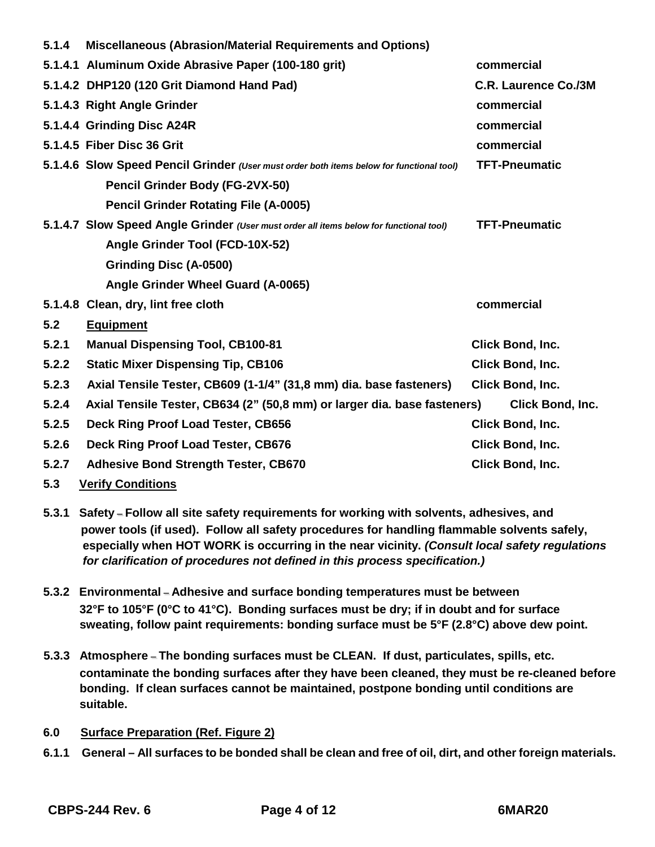| 5.1.4 | Miscellaneous (Abrasion/Material Requirements and Options)                               |                             |
|-------|------------------------------------------------------------------------------------------|-----------------------------|
|       | 5.1.4.1 Aluminum Oxide Abrasive Paper (100-180 grit)                                     | commercial                  |
|       | 5.1.4.2 DHP120 (120 Grit Diamond Hand Pad)                                               | <b>C.R. Laurence Co./3M</b> |
|       | 5.1.4.3 Right Angle Grinder                                                              | commercial                  |
|       | 5.1.4.4 Grinding Disc A24R                                                               | commercial                  |
|       | 5.1.4.5 Fiber Disc 36 Grit                                                               | commercial                  |
|       | 5.1.4.6 Slow Speed Pencil Grinder (User must order both items below for functional tool) | <b>TFT-Pneumatic</b>        |
|       | Pencil Grinder Body (FG-2VX-50)                                                          |                             |
|       | <b>Pencil Grinder Rotating File (A-0005)</b>                                             |                             |
|       | 5.1.4.7 Slow Speed Angle Grinder (User must order all items below for functional tool)   | <b>TFT-Pneumatic</b>        |
|       | Angle Grinder Tool (FCD-10X-52)                                                          |                             |
|       | <b>Grinding Disc (A-0500)</b>                                                            |                             |
|       | Angle Grinder Wheel Guard (A-0065)                                                       |                             |
|       | 5.1.4.8 Clean, dry, lint free cloth                                                      | commercial                  |
| 5.2   | <b>Equipment</b>                                                                         |                             |
| 5.2.1 | <b>Manual Dispensing Tool, CB100-81</b>                                                  | Click Bond, Inc.            |
| 5.2.2 | <b>Static Mixer Dispensing Tip, CB106</b>                                                | Click Bond, Inc.            |
| 5.2.3 | Axial Tensile Tester, CB609 (1-1/4" (31,8 mm) dia. base fasteners)                       | Click Bond, Inc.            |
| 5.2.4 | Axial Tensile Tester, CB634 (2" (50,8 mm) or larger dia. base fasteners)                 | Click Bond, Inc.            |
| 5.2.5 | Deck Ring Proof Load Tester, CB656                                                       | Click Bond, Inc.            |
| 5.2.6 | Deck Ring Proof Load Tester, CB676                                                       | Click Bond, Inc.            |
| 5.2.7 | <b>Adhesive Bond Strength Tester, CB670</b>                                              | Click Bond, Inc.            |
| 5.3   | <b>Verify Conditions</b>                                                                 |                             |

- **5.3.1 Safety – Follow all site safety requirements for working with solvents, adhesives, and power tools (if used). Follow all safety procedures for handling flammable solvents safely, especially when HOT WORK is occurring in the near vicinity.** *(Consult local safety regulations for clarification of procedures not defined in this process specification.)*
- **5.3.2 Environmental – Adhesive and surface bonding temperatures must be between 32°F to 105°F (0°C to 41°C). Bonding surfaces must be dry; if in doubt and for surface sweating, follow paint requirements: bonding surface must be 5°F (2.8°C) above dew point.**
- **5.3.3 Atmosphere – The bonding surfaces must be CLEAN. If dust, particulates, spills, etc. contaminate the bonding surfaces after they have been cleaned, they must be re-cleaned before bonding. If clean surfaces cannot be maintained, postpone bonding until conditions are suitable.**
- **6.0 Surface Preparation (Ref. Figure 2)**
- **6.1.1 General – All surfaces to be bonded shall be clean and free of oil, dirt, and other foreign materials.**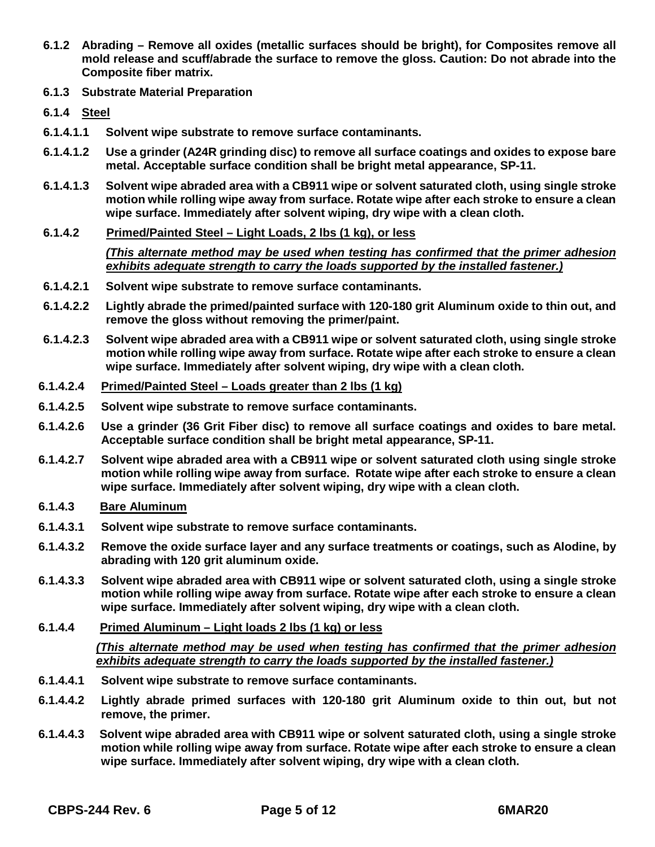- **6.1.2 Abrading – Remove all oxides (metallic surfaces should be bright), for Composites remove all mold release and scuff/abrade the surface to remove the gloss. Caution: Do not abrade into the Composite fiber matrix.**
- **6.1.3 Substrate Material Preparation**
- **6.1.4 Steel**
- **6.1.4.1.1 Solvent wipe substrate to remove surface contaminants.**
- **6.1.4.1.2 Use a grinder (A24R grinding disc) to remove all surface coatings and oxides to expose bare metal. Acceptable surface condition shall be bright metal appearance, SP-11.**
- **6.1.4.1.3 Solvent wipe abraded area with a CB911 wipe or solvent saturated cloth, using single stroke motion while rolling wipe away from surface. Rotate wipe after each stroke to ensure a clean wipe surface. Immediately after solvent wiping, dry wipe with a clean cloth.**
- **6.1.4.2 Primed/Painted Steel – Light Loads, 2 lbs (1 kg), or less**

*(This alternate method may be used when testing has confirmed that the primer adhesion exhibits adequate strength to carry the loads supported by the installed fastener.)*

- **6.1.4.2.1 Solvent wipe substrate to remove surface contaminants.**
- **6.1.4.2.2 Lightly abrade the primed/painted surface with 120-180 grit Aluminum oxide to thin out, and remove the gloss without removing the primer/paint.**
- **6.1.4.2.3 Solvent wipe abraded area with a CB911 wipe or solvent saturated cloth, using single stroke motion while rolling wipe away from surface. Rotate wipe after each stroke to ensure a clean wipe surface. Immediately after solvent wiping, dry wipe with a clean cloth.**
- **6.1.4.2.4 Primed/Painted Steel – Loads greater than 2 lbs (1 kg)**
- **6.1.4.2.5 Solvent wipe substrate to remove surface contaminants.**
- **6.1.4.2.6 Use a grinder (36 Grit Fiber disc) to remove all surface coatings and oxides to bare metal. Acceptable surface condition shall be bright metal appearance, SP-11.**
- **6.1.4.2.7 Solvent wipe abraded area with a CB911 wipe or solvent saturated cloth using single stroke motion while rolling wipe away from surface. Rotate wipe after each stroke to ensure a clean wipe surface. Immediately after solvent wiping, dry wipe with a clean cloth.**
- **6.1.4.3 Bare Aluminum**
- **6.1.4.3.1 Solvent wipe substrate to remove surface contaminants.**
- **6.1.4.3.2 Remove the oxide surface layer and any surface treatments or coatings, such as Alodine, by abrading with 120 grit aluminum oxide.**
- **6.1.4.3.3 Solvent wipe abraded area with CB911 wipe or solvent saturated cloth, using a single stroke motion while rolling wipe away from surface. Rotate wipe after each stroke to ensure a clean wipe surface. Immediately after solvent wiping, dry wipe with a clean cloth.**
- **6.1.4.4 Primed Aluminum – Light loads 2 lbs (1 kg) or less**

*(This alternate method may be used when testing has confirmed that the primer adhesion exhibits adequate strength to carry the loads supported by the installed fastener.)*

- **6.1.4.4.1 Solvent wipe substrate to remove surface contaminants.**
- **6.1.4.4.2 Lightly abrade primed surfaces with 120-180 grit Aluminum oxide to thin out, but not remove, the primer.**
- **6.1.4.4.3 Solvent wipe abraded area with CB911 wipe or solvent saturated cloth, using a single stroke motion while rolling wipe away from surface. Rotate wipe after each stroke to ensure a clean wipe surface. Immediately after solvent wiping, dry wipe with a clean cloth.**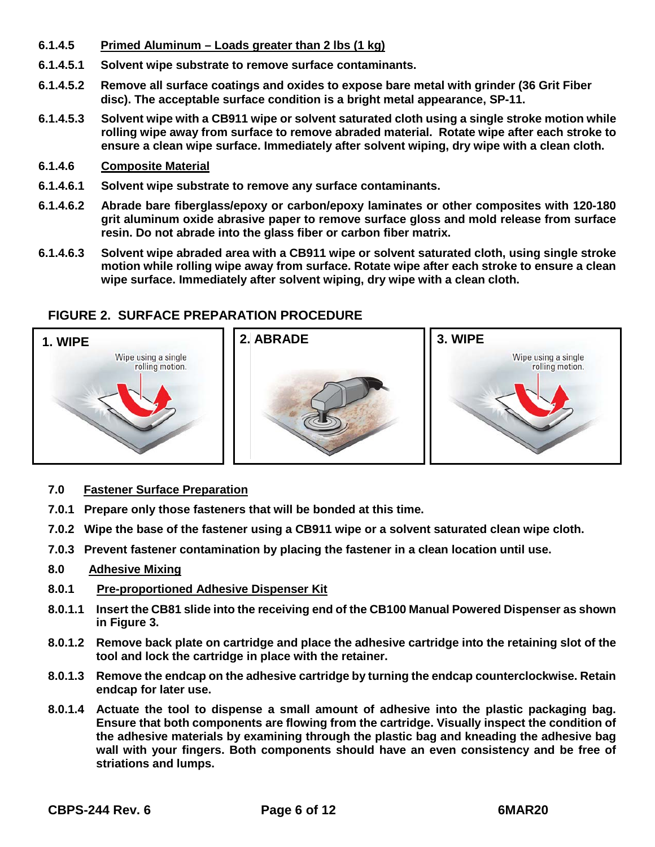- **6.1.4.5 Primed Aluminum – Loads greater than 2 lbs (1 kg)**
- **6.1.4.5.1 Solvent wipe substrate to remove surface contaminants.**
- **6.1.4.5.2 Remove all surface coatings and oxides to expose bare metal with grinder (36 Grit Fiber disc). The acceptable surface condition is a bright metal appearance, SP-11.**
- **6.1.4.5.3 Solvent wipe with a CB911 wipe or solvent saturated cloth using a single stroke motion while rolling wipe away from surface to remove abraded material. Rotate wipe after each stroke to ensure a clean wipe surface. Immediately after solvent wiping, dry wipe with a clean cloth.**
- **6.1.4.6 Composite Material**
- **6.1.4.6.1 Solvent wipe substrate to remove any surface contaminants.**
- **6.1.4.6.2 Abrade bare fiberglass/epoxy or carbon/epoxy laminates or other composites with 120-180 grit aluminum oxide abrasive paper to remove surface gloss and mold release from surface resin. Do not abrade into the glass fiber or carbon fiber matrix.**
- **6.1.4.6.3 Solvent wipe abraded area with a CB911 wipe or solvent saturated cloth, using single stroke motion while rolling wipe away from surface. Rotate wipe after each stroke to ensure a clean wipe surface. Immediately after solvent wiping, dry wipe with a clean cloth.**

## **FIGURE 2. SURFACE PREPARATION PROCEDURE**



- **7.0 Fastener Surface Preparation**
- **7.0.1 Prepare only those fasteners that will be bonded at this time.**
- **7.0.2 Wipe the base of the fastener using a CB911 wipe or a solvent saturated clean wipe cloth.**
- **7.0.3 Prevent fastener contamination by placing the fastener in a clean location until use.**

#### **8.0 Adhesive Mixing**

- **8.0.1 Pre-proportioned Adhesive Dispenser Kit**
- **8.0.1.1 Insert the CB81 slide into the receiving end of the CB100 Manual Powered Dispenser as shown in Figure 3.**
- **8.0.1.2 Remove back plate on cartridge and place the adhesive cartridge into the retaining slot of the tool and lock the cartridge in place with the retainer.**
- **8.0.1.3 Remove the endcap on the adhesive cartridge by turning the endcap counterclockwise. Retain endcap for later use.**
- **8.0.1.4 Actuate the tool to dispense a small amount of adhesive into the plastic packaging bag. Ensure that both components are flowing from the cartridge. Visually inspect the condition of the adhesive materials by examining through the plastic bag and kneading the adhesive bag wall with your fingers. Both components should have an even consistency and be free of striations and lumps.**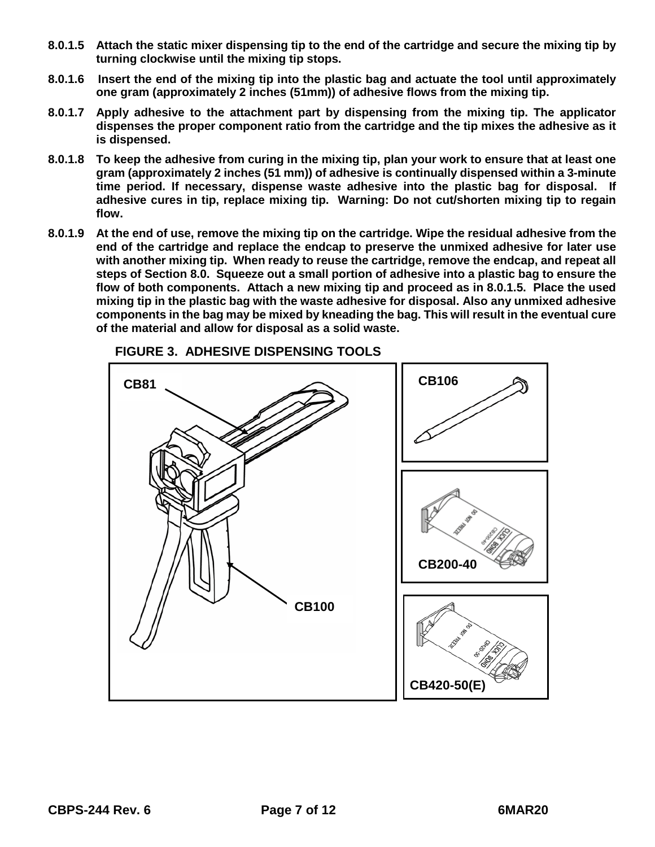- **8.0.1.5 Attach the static mixer dispensing tip to the end of the cartridge and secure the mixing tip by turning clockwise until the mixing tip stops.**
- **8.0.1.6 Insert the end of the mixing tip into the plastic bag and actuate the tool until approximately one gram (approximately 2 inches (51mm)) of adhesive flows from the mixing tip.**
- **8.0.1.7 Apply adhesive to the attachment part by dispensing from the mixing tip. The applicator dispenses the proper component ratio from the cartridge and the tip mixes the adhesive as it is dispensed.**
- **8.0.1.8 To keep the adhesive from curing in the mixing tip, plan your work to ensure that at least one gram (approximately 2 inches (51 mm)) of adhesive is continually dispensed within a 3-minute time period. If necessary, dispense waste adhesive into the plastic bag for disposal. If adhesive cures in tip, replace mixing tip. Warning: Do not cut/shorten mixing tip to regain flow.**
- **8.0.1.9 At the end of use, remove the mixing tip on the cartridge. Wipe the residual adhesive from the end of the cartridge and replace the endcap to preserve the unmixed adhesive for later use with another mixing tip. When ready to reuse the cartridge, remove the endcap, and repeat all steps of Section 8.0. Squeeze out a small portion of adhesive into a plastic bag to ensure the flow of both components. Attach a new mixing tip and proceed as in 8.0.1.5. Place the used mixing tip in the plastic bag with the waste adhesive for disposal. Also any unmixed adhesive components in the bag may be mixed by kneading the bag. This will result in the eventual cure of the material and allow for disposal as a solid waste.**



#### **FIGURE 3. ADHESIVE DISPENSING TOOLS**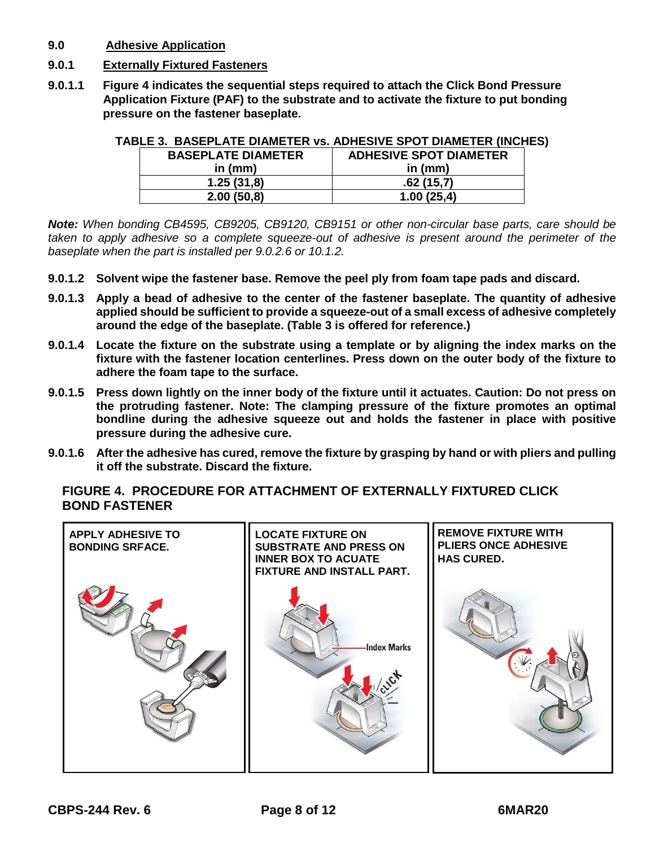- **9.0 Adhesive Application**
- **9.0.1 Externally Fixtured Fasteners**
- **9.0.1.1 Figure 4 indicates the sequential steps required to attach the Click Bond Pressure Application Fixture (PAF) to the substrate and to activate the fixture to put bonding pressure on the fastener baseplate.**

| DEE J. DAJEFEATE DIAMETER VS. ADITEJIVE JFUT DIAMETER (INVITE |                               |  |  |  |  |
|---------------------------------------------------------------|-------------------------------|--|--|--|--|
| <b>BASEPLATE DIAMETER</b>                                     | <b>ADHESIVE SPOT DIAMETER</b> |  |  |  |  |
| in $(mm)$                                                     | in $(mm)$                     |  |  |  |  |
| 1.25(31,8)                                                    | .62(15.7)                     |  |  |  |  |
| 2.00(50.8)                                                    | 1.00(25.4)                    |  |  |  |  |

# **TABLE 3. BASEPLATE DIAMETER vs. ADHESIVE SPOT DIAMETER (INCHES)**

*Note: When bonding CB4595, CB9205, CB9120, CB9151 or other non-circular base parts, care should be taken to apply adhesive so a complete squeeze-out of adhesive is present around the perimeter of the baseplate when the part is installed per 9.0.2.6 or 10.1.2.*

- **9.0.1.2 Solvent wipe the fastener base. Remove the peel ply from foam tape pads and discard.**
- **9.0.1.3 Apply a bead of adhesive to the center of the fastener baseplate. The quantity of adhesive applied should be sufficient to provide a squeeze-out of a small excess of adhesive completely around the edge of the baseplate. (Table 3 is offered for reference.)**
- **9.0.1.4 Locate the fixture on the substrate using a template or by aligning the index marks on the fixture with the fastener location centerlines. Press down on the outer body of the fixture to adhere the foam tape to the surface.**
- **9.0.1.5 Press down lightly on the inner body of the fixture until it actuates. Caution: Do not press on the protruding fastener. Note: The clamping pressure of the fixture promotes an optimal bondline during the adhesive squeeze out and holds the fastener in place with positive pressure during the adhesive cure.**
- **9.0.1.6 After the adhesive has cured, remove the fixture by grasping by hand or with pliers and pulling it off the substrate. Discard the fixture.**

**FIGURE 4. PROCEDURE FOR ATTACHMENT OF EXTERNALLY FIXTURED CLICK BOND FASTENER**

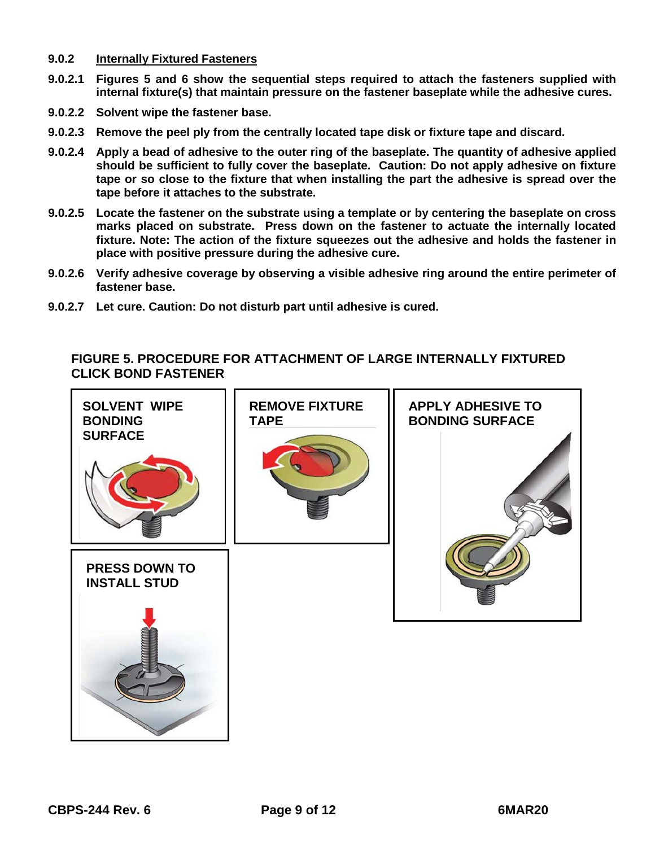- **9.0.2 Internally Fixtured Fasteners**
- **9.0.2.1 Figures 5 and 6 show the sequential steps required to attach the fasteners supplied with internal fixture(s) that maintain pressure on the fastener baseplate while the adhesive cures.**
- **9.0.2.2 Solvent wipe the fastener base.**
- **9.0.2.3 Remove the peel ply from the centrally located tape disk or fixture tape and discard.**
- **9.0.2.4 Apply a bead of adhesive to the outer ring of the baseplate. The quantity of adhesive applied should be sufficient to fully cover the baseplate. Caution: Do not apply adhesive on fixture tape or so close to the fixture that when installing the part the adhesive is spread over the tape before it attaches to the substrate.**
- **9.0.2.5 Locate the fastener on the substrate using a template or by centering the baseplate on cross marks placed on substrate. Press down on the fastener to actuate the internally located fixture. Note: The action of the fixture squeezes out the adhesive and holds the fastener in place with positive pressure during the adhesive cure.**
- **9.0.2.6 Verify adhesive coverage by observing a visible adhesive ring around the entire perimeter of fastener base.**
- **9.0.2.7 Let cure. Caution: Do not disturb part until adhesive is cured.**

## **FIGURE 5. PROCEDURE FOR ATTACHMENT OF LARGE INTERNALLY FIXTURED CLICK BOND FASTENER**

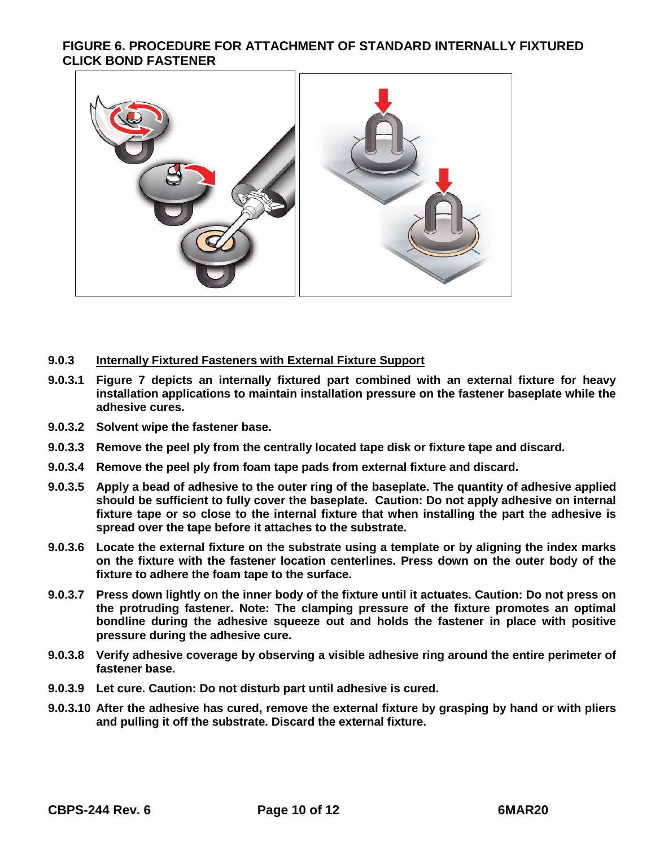## **FIGURE 6. PROCEDURE FOR ATTACHMENT OF STANDARD INTERNALLY FIXTURED CLICK BOND FASTENER**



#### **9.0.3 Internally Fixtured Fasteners with External Fixture Support**

- **9.0.3.1 Figure 7 depicts an internally fixtured part combined with an external fixture for heavy installation applications to maintain installation pressure on the fastener baseplate while the adhesive cures.**
- **9.0.3.2 Solvent wipe the fastener base.**
- **9.0.3.3 Remove the peel ply from the centrally located tape disk or fixture tape and discard.**
- **9.0.3.4 Remove the peel ply from foam tape pads from external fixture and discard.**
- **9.0.3.5 Apply a bead of adhesive to the outer ring of the baseplate. The quantity of adhesive applied should be sufficient to fully cover the baseplate. Caution: Do not apply adhesive on internal fixture tape or so close to the internal fixture that when installing the part the adhesive is spread over the tape before it attaches to the substrate.**
- **9.0.3.6 Locate the external fixture on the substrate using a template or by aligning the index marks on the fixture with the fastener location centerlines. Press down on the outer body of the fixture to adhere the foam tape to the surface.**
- **9.0.3.7 Press down lightly on the inner body of the fixture until it actuates. Caution: Do not press on the protruding fastener. Note: The clamping pressure of the fixture promotes an optimal bondline during the adhesive squeeze out and holds the fastener in place with positive pressure during the adhesive cure.**
- **9.0.3.8 Verify adhesive coverage by observing a visible adhesive ring around the entire perimeter of fastener base.**
- **9.0.3.9 Let cure. Caution: Do not disturb part until adhesive is cured.**
- **9.0.3.10 After the adhesive has cured, remove the external fixture by grasping by hand or with pliers and pulling it off the substrate. Discard the external fixture.**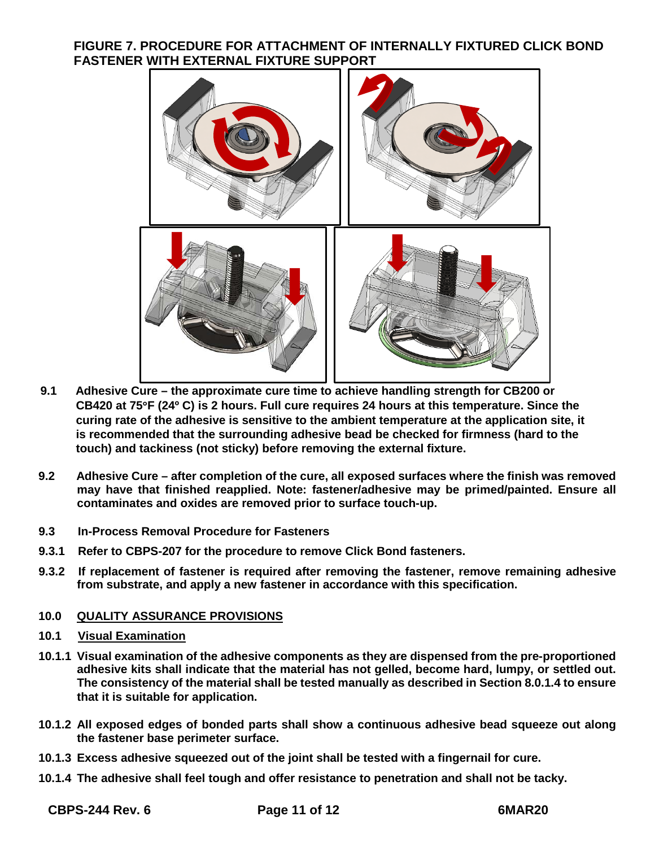## **FIGURE 7. PROCEDURE FOR ATTACHMENT OF INTERNALLY FIXTURED CLICK BOND FASTENER WITH EXTERNAL FIXTURE SUPPORT**



- **9.1 Adhesive Cure – the approximate cure time to achieve handling strength for CB200 or CB420 at 75**°**F (24º C) is 2 hours. Full cure requires 24 hours at this temperature. Since the curing rate of the adhesive is sensitive to the ambient temperature at the application site, it is recommended that the surrounding adhesive bead be checked for firmness (hard to the touch) and tackiness (not sticky) before removing the external fixture.**
- **9.2 Adhesive Cure – after completion of the cure, all exposed surfaces where the finish was removed may have that finished reapplied. Note: fastener/adhesive may be primed/painted. Ensure all contaminates and oxides are removed prior to surface touch-up.**
- **9.3 In-Process Removal Procedure for Fasteners**
- **9.3.1 Refer to CBPS-207 for the procedure to remove Click Bond fasteners.**
- **9.3.2 If replacement of fastener is required after removing the fastener, remove remaining adhesive from substrate, and apply a new fastener in accordance with this specification.**

## **10.0 QUALITY ASSURANCE PROVISIONS**

- **10.1 Visual Examination**
- **10.1.1 Visual examination of the adhesive components as they are dispensed from the pre-proportioned adhesive kits shall indicate that the material has not gelled, become hard, lumpy, or settled out. The consistency of the material shall be tested manually as described in Section 8.0.1.4 to ensure that it is suitable for application.**
- **10.1.2 All exposed edges of bonded parts shall show a continuous adhesive bead squeeze out along the fastener base perimeter surface.**
- **10.1.3 Excess adhesive squeezed out of the joint shall be tested with a fingernail for cure.**
- **10.1.4 The adhesive shall feel tough and offer resistance to penetration and shall not be tacky.**